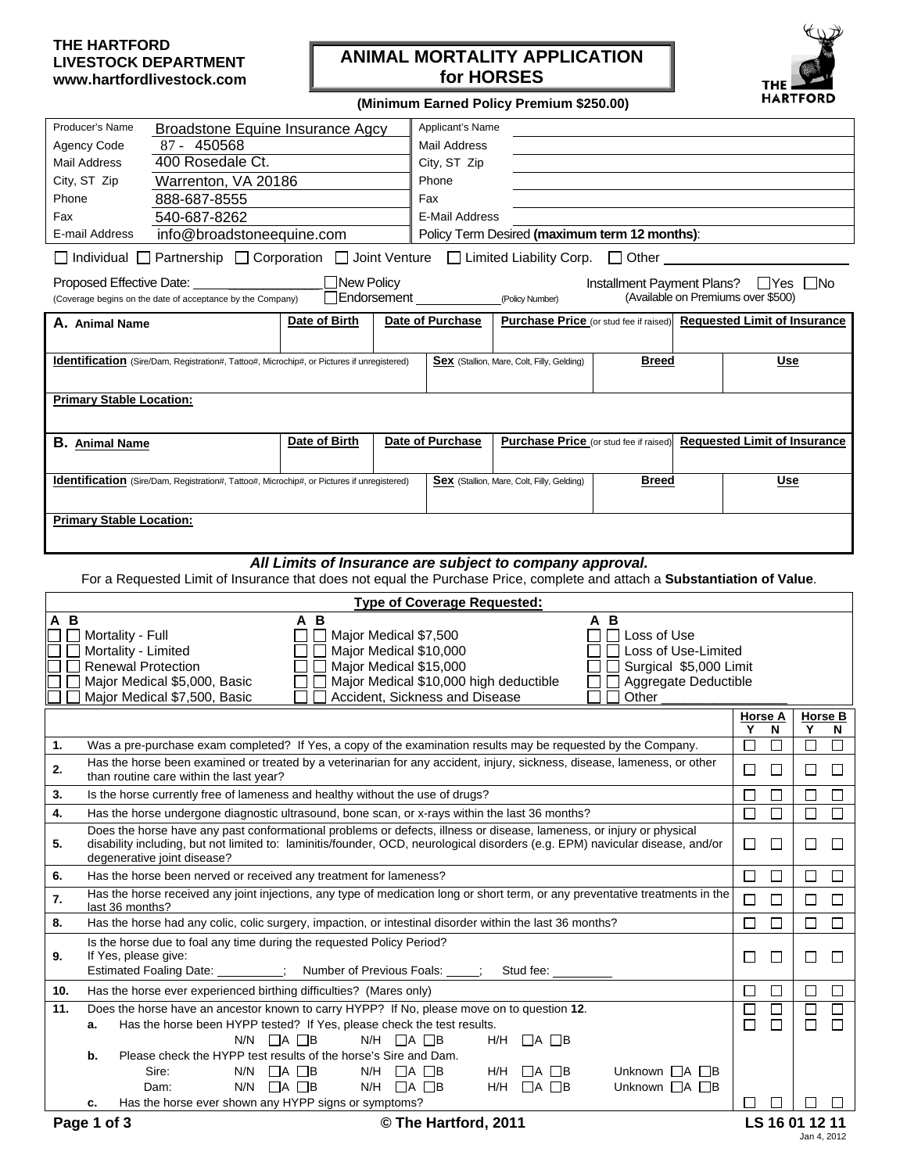## **THE HARTFORD LIVESTOCK DEPARTMENT www.hartfordlivestock.com**

## **ANIMAL MORTALITY APPLICATION for HORSES**



**(Minimum Earned Policy Premium \$250.00)**

| Producer's Name<br>Broadstone Equine Insurance Agcy                                                                                                                                                                                                         |                                                                                                                                                                        | Applicant's Name                                                                        |                                                                                                                     |                                                   |                         |                                     |             |        |         |                                    |  |  |
|-------------------------------------------------------------------------------------------------------------------------------------------------------------------------------------------------------------------------------------------------------------|------------------------------------------------------------------------------------------------------------------------------------------------------------------------|-----------------------------------------------------------------------------------------|---------------------------------------------------------------------------------------------------------------------|---------------------------------------------------|-------------------------|-------------------------------------|-------------|--------|---------|------------------------------------|--|--|
| Agency Code<br>87 - 450568                                                                                                                                                                                                                                  |                                                                                                                                                                        |                                                                                         |                                                                                                                     |                                                   |                         |                                     |             |        |         |                                    |  |  |
| 400 Rosedale Ct.<br>Mail Address                                                                                                                                                                                                                            | City, ST Zip                                                                                                                                                           |                                                                                         |                                                                                                                     |                                                   |                         |                                     |             |        |         |                                    |  |  |
| City, ST Zip                                                                                                                                                                                                                                                | Warrenton, VA 20186<br>Phone                                                                                                                                           |                                                                                         |                                                                                                                     |                                                   |                         |                                     |             |        |         |                                    |  |  |
| Phone<br>888-687-8555                                                                                                                                                                                                                                       |                                                                                                                                                                        | Fax                                                                                     |                                                                                                                     |                                                   |                         |                                     |             |        |         |                                    |  |  |
| 540-687-8262<br>Fax                                                                                                                                                                                                                                         |                                                                                                                                                                        |                                                                                         | E-Mail Address                                                                                                      |                                                   |                         |                                     |             |        |         |                                    |  |  |
| info@broadstoneequine.com<br>E-mail Address                                                                                                                                                                                                                 |                                                                                                                                                                        |                                                                                         | Policy Term Desired (maximum term 12 months):                                                                       |                                                   |                         |                                     |             |        |         |                                    |  |  |
|                                                                                                                                                                                                                                                             |                                                                                                                                                                        |                                                                                         |                                                                                                                     |                                                   |                         |                                     |             |        |         |                                    |  |  |
| Individual   Partnership   Corporation   Joint Venture   Limited Liability Corp.   Other                                                                                                                                                                    |                                                                                                                                                                        |                                                                                         |                                                                                                                     |                                                   |                         |                                     |             |        |         |                                    |  |  |
| $\Box$ New Policy<br>Installment Payment Plans? □ Yes □ No<br>Proposed Effective Date:<br>$\Box$ Endorsement<br>(Available on Premiums over \$500)<br>(Coverage begins on the date of acceptance by the Company)<br>(Policy Number)                         |                                                                                                                                                                        |                                                                                         |                                                                                                                     |                                                   |                         |                                     |             |        |         |                                    |  |  |
| A. Animal Name                                                                                                                                                                                                                                              | Date of Birth                                                                                                                                                          | Date of Purchase<br>Purchase Price (or stud fee if raised) Requested Limit of Insurance |                                                                                                                     |                                                   |                         |                                     |             |        |         |                                    |  |  |
|                                                                                                                                                                                                                                                             | <b>Breed</b><br><b>Identification</b> (Sire/Dam, Registration#, Tattoo#, Microchip#, or Pictures if unregistered)<br><b>Sex</b> (Stallion, Mare, Colt, Filly, Gelding) |                                                                                         |                                                                                                                     |                                                   |                         |                                     | <b>Use</b>  |        |         |                                    |  |  |
| <b>Primary Stable Location:</b>                                                                                                                                                                                                                             |                                                                                                                                                                        |                                                                                         |                                                                                                                     |                                                   |                         |                                     |             |        |         |                                    |  |  |
|                                                                                                                                                                                                                                                             |                                                                                                                                                                        |                                                                                         |                                                                                                                     |                                                   |                         |                                     |             |        |         |                                    |  |  |
|                                                                                                                                                                                                                                                             |                                                                                                                                                                        |                                                                                         |                                                                                                                     |                                                   |                         |                                     |             |        |         |                                    |  |  |
| <b>B.</b> Animal Name                                                                                                                                                                                                                                       | Date of Birth                                                                                                                                                          | Date of Purchase                                                                        |                                                                                                                     | <b>Purchase Price</b> (or stud fee if raised)     |                         | <b>Requested Limit of Insurance</b> |             |        |         |                                    |  |  |
|                                                                                                                                                                                                                                                             |                                                                                                                                                                        |                                                                                         |                                                                                                                     |                                                   |                         |                                     |             |        |         |                                    |  |  |
| <b>Identification</b> (Sire/Dam, Registration#, Tattoo#, Microchip#, or Pictures if unregistered)                                                                                                                                                           |                                                                                                                                                                        |                                                                                         |                                                                                                                     | <b>Sex</b> (Stallion, Mare, Colt, Filly, Gelding) | <b>Breed</b>            |                                     |             | Use    |         |                                    |  |  |
| <b>Primary Stable Location:</b>                                                                                                                                                                                                                             |                                                                                                                                                                        |                                                                                         |                                                                                                                     |                                                   |                         |                                     |             |        |         |                                    |  |  |
|                                                                                                                                                                                                                                                             |                                                                                                                                                                        |                                                                                         |                                                                                                                     |                                                   |                         |                                     |             |        |         |                                    |  |  |
|                                                                                                                                                                                                                                                             | All Limits of Insurance are subject to company approval.                                                                                                               |                                                                                         |                                                                                                                     |                                                   |                         |                                     |             |        |         |                                    |  |  |
| For a Requested Limit of Insurance that does not equal the Purchase Price, complete and attach a Substantiation of Value.                                                                                                                                   |                                                                                                                                                                        |                                                                                         |                                                                                                                     |                                                   |                         |                                     |             |        |         |                                    |  |  |
|                                                                                                                                                                                                                                                             |                                                                                                                                                                        |                                                                                         |                                                                                                                     |                                                   |                         |                                     |             |        |         |                                    |  |  |
| <b>Type of Coverage Requested:</b>                                                                                                                                                                                                                          |                                                                                                                                                                        |                                                                                         |                                                                                                                     |                                                   |                         |                                     |             |        |         |                                    |  |  |
| $\overline{A}$ $\overline{B}$<br>$A \overline{B}$<br>A B<br>Major Medical \$7,500<br>l Loss of Use                                                                                                                                                          |                                                                                                                                                                        |                                                                                         |                                                                                                                     |                                                   |                         |                                     |             |        |         |                                    |  |  |
| Mortality - Full<br>Mortality - Limited                                                                                                                                                                                                                     | $\mathcal{L}$                                                                                                                                                          |                                                                                         |                                                                                                                     |                                                   |                         |                                     |             |        |         |                                    |  |  |
| Major Medical \$10,000<br>Loss of Use-Limited<br><b>Renewal Protection</b><br>Major Medical \$15,000<br>Surgical \$5,000 Limit                                                                                                                              |                                                                                                                                                                        |                                                                                         |                                                                                                                     |                                                   |                         |                                     |             |        |         |                                    |  |  |
| Major Medical \$5,000, Basic                                                                                                                                                                                                                                |                                                                                                                                                                        | Major Medical \$10,000 high deductible                                                  |                                                                                                                     |                                                   | Aggregate Deductible    |                                     |             |        |         |                                    |  |  |
| Major Medical \$7,500, Basic                                                                                                                                                                                                                                |                                                                                                                                                                        | Accident, Sickness and Disease                                                          |                                                                                                                     |                                                   | Other                   |                                     |             |        |         |                                    |  |  |
|                                                                                                                                                                                                                                                             |                                                                                                                                                                        |                                                                                         |                                                                                                                     |                                                   |                         |                                     | Horse A     |        | Horse B |                                    |  |  |
|                                                                                                                                                                                                                                                             |                                                                                                                                                                        |                                                                                         |                                                                                                                     |                                                   |                         |                                     | Υ           | N      | Y       | N                                  |  |  |
|                                                                                                                                                                                                                                                             |                                                                                                                                                                        |                                                                                         | Was a pre-purchase exam completed? If Yes, a copy of the examination results may be requested by the Company.<br>1. |                                                   |                         |                                     |             | $\Box$ | П       | П                                  |  |  |
| Has the horse been examined or treated by a veterinarian for any accident, injury, sickness, disease, lameness, or other<br>2<br>than routine care within the last year?                                                                                    |                                                                                                                                                                        |                                                                                         |                                                                                                                     |                                                   |                         |                                     | □           |        |         | $\Box$                             |  |  |
| Is the horse currently free of lameness and healthy without the use of drugs?<br>3.                                                                                                                                                                         |                                                                                                                                                                        |                                                                                         |                                                                                                                     |                                                   |                         |                                     | $\Box$      | $\Box$ | $\Box$  |                                    |  |  |
| 4.<br>Has the horse undergone diagnostic ultrasound, bone scan, or x-rays within the last 36 months?<br>$\Box$<br>$\Box$<br>□                                                                                                                               |                                                                                                                                                                        |                                                                                         |                                                                                                                     |                                                   |                         |                                     |             | $\Box$ | $\Box$  | ப                                  |  |  |
| Does the horse have any past conformational problems or defects, illness or disease, lameness, or injury or physical<br>disability including, but not limited to: laminitis/founder, OCD, neurological disorders (e.g. EPM) navicular disease, and/or<br>5. |                                                                                                                                                                        |                                                                                         |                                                                                                                     |                                                   |                         |                                     | □           |        |         | $\Box$                             |  |  |
|                                                                                                                                                                                                                                                             |                                                                                                                                                                        |                                                                                         |                                                                                                                     |                                                   |                         |                                     | $\Box$      | $\Box$ | ⊔       | $\Box$                             |  |  |
| degenerative joint disease?                                                                                                                                                                                                                                 |                                                                                                                                                                        |                                                                                         |                                                                                                                     |                                                   |                         |                                     |             |        | □       |                                    |  |  |
| Has the horse been nerved or received any treatment for lameness?<br>6.<br>Has the horse received any joint injections, any type of medication long or short term, or any preventative treatments in the                                                    |                                                                                                                                                                        |                                                                                         |                                                                                                                     |                                                   |                         |                                     | □<br>$\Box$ | $\Box$ |         | $\Box$<br>$\overline{\phantom{a}}$ |  |  |
| 7.<br>last 36 months?                                                                                                                                                                                                                                       |                                                                                                                                                                        |                                                                                         |                                                                                                                     |                                                   |                         |                                     |             | $\Box$ | ப       |                                    |  |  |
| Has the horse had any colic, colic surgery, impaction, or intestinal disorder within the last 36 months?<br>8.                                                                                                                                              |                                                                                                                                                                        |                                                                                         |                                                                                                                     |                                                   |                         |                                     | □           | $\Box$ | $\Box$  | $\Box$                             |  |  |
| Is the horse due to foal any time during the requested Policy Period?<br>If Yes, please give:<br>9.                                                                                                                                                         |                                                                                                                                                                        |                                                                                         |                                                                                                                     |                                                   |                         |                                     | ப           | $\Box$ | ⊔       | $\Box$                             |  |  |
| Estimated Foaling Date: _________; Number of Previous Foals: _____; Stud fee: ____                                                                                                                                                                          |                                                                                                                                                                        |                                                                                         |                                                                                                                     |                                                   |                         |                                     |             |        |         |                                    |  |  |
| Has the horse ever experienced birthing difficulties? (Mares only)<br>10.                                                                                                                                                                                   |                                                                                                                                                                        |                                                                                         |                                                                                                                     |                                                   |                         |                                     | $\Box$      | $\Box$ | $\Box$  | $\Box$                             |  |  |
| Does the horse have an ancestor known to carry HYPP? If No, please move on to question 12.<br>11.<br>а.                                                                                                                                                     |                                                                                                                                                                        |                                                                                         |                                                                                                                     |                                                   |                         |                                     | $\Box$      | □      | $\Box$  | $\Box$                             |  |  |
| Has the horse been HYPP tested? If Yes, please check the test results.                                                                                                                                                                                      | $N/N$ $\Box A \Box B$                                                                                                                                                  | $N/H$ $\Box$ A $\Box$ B                                                                 |                                                                                                                     | $H/H$ $\Box$ A $\Box$ B                           |                         |                                     | $\Box$      | $\Box$ | $\Box$  | □                                  |  |  |
| Please check the HYPP test results of the horse's Sire and Dam.<br>b.                                                                                                                                                                                       |                                                                                                                                                                        |                                                                                         |                                                                                                                     |                                                   |                         |                                     |             |        |         |                                    |  |  |
| Sire:                                                                                                                                                                                                                                                       | $N/N$ $\Box A \Box B$                                                                                                                                                  | $N/H$ $\Box$ A $\Box$ B                                                                 |                                                                                                                     | H/H<br>$\Box$ A $\Box$ B                          | Unknown $\Box A \Box B$ |                                     |             |        |         |                                    |  |  |
| Dam:                                                                                                                                                                                                                                                        | $N/N$ $\Box$ A $\Box$ B                                                                                                                                                | $N/H$ $\Box$ A $\Box$ B                                                                 |                                                                                                                     | $H/H$ $\Box$ A $\Box$ B                           | Unknown $\Box A \Box B$ |                                     |             |        |         |                                    |  |  |
| Has the horse ever shown any HYPP signs or symptoms?<br>c.<br>Page 1 of 3                                                                                                                                                                                   |                                                                                                                                                                        |                                                                                         |                                                                                                                     |                                                   |                         |                                     | ப           | □      | ⊔       |                                    |  |  |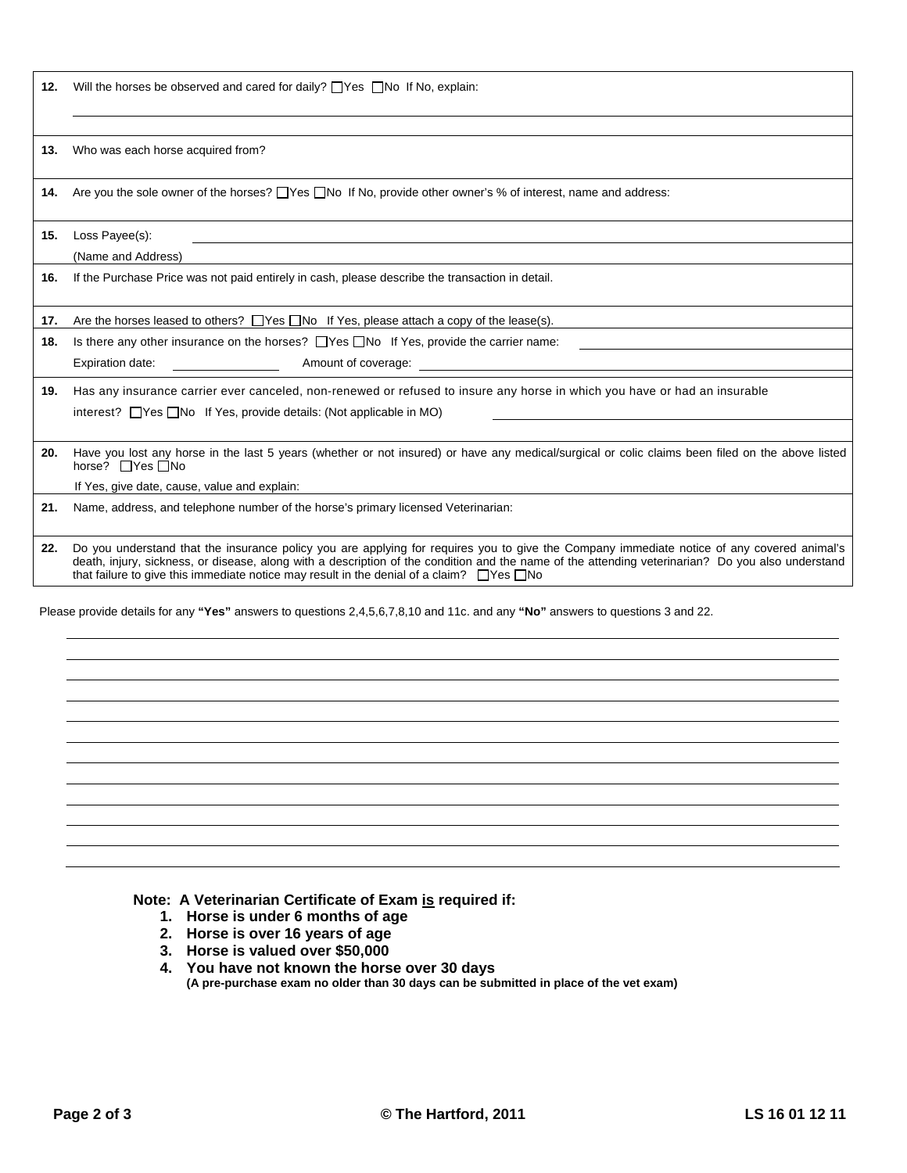12. Will the horses be observed and cared for daily? Thes No If No, explain:

**13.** Who was each horse acquired from?

**14.** Are you the sole owner of the horses?  $\Box$  Yes  $\Box$  No If No, provide other owner's % of interest, name and address:

**15.** Loss Payee(s):

(Name and Address)

**16.** If the Purchase Price was not paid entirely in cash, please describe the transaction in detail.

**17.** Are the horses leased to others?  $\Box$  Yes  $\Box$  No If Yes, please attach a copy of the lease(s).

**18.** Is there any other insurance on the horses? **The Read of Yes**, provide the carrier name:

Expiration date: Amount of coverage:

**19.** Has any insurance carrier ever canceled, non-renewed or refused to insure any horse in which you have or had an insurable interest?  $\Box$  Yes  $\Box$  No If Yes, provide details: (Not applicable in MO)

**20.** Have you lost any horse in the last 5 years (whether or not insured) or have any medical/surgical or colic claims been filed on the above listed horse? □ Yes □ No

If Yes, give date, cause, value and explain:

**21.** Name, address, and telephone number of the horse's primary licensed Veterinarian:

**22.** Do you understand that the insurance policy you are applying for requires you to give the Company immediate notice of any covered animal's death, injury, sickness, or disease, along with a description of the condition and the name of the attending veterinarian? Do you also understand that failure to give this immediate notice may result in the denial of a claim?  $\Box$  Yes  $\Box$  No

Please provide details for any **"Yes"** answers to questions 2,4,5,6,7,8,10 and 11c. and any **"No"** answers to questions 3 and 22.

## **Note: A Veterinarian Certificate of Exam is required if:**

- **1. Horse is under 6 months of age**
- **2. Horse is over 16 years of age**
- **3. Horse is valued over \$50,000**

**4. You have not known the horse over 30 days (A pre-purchase exam no older than 30 days can be submitted in place of the vet exam)**